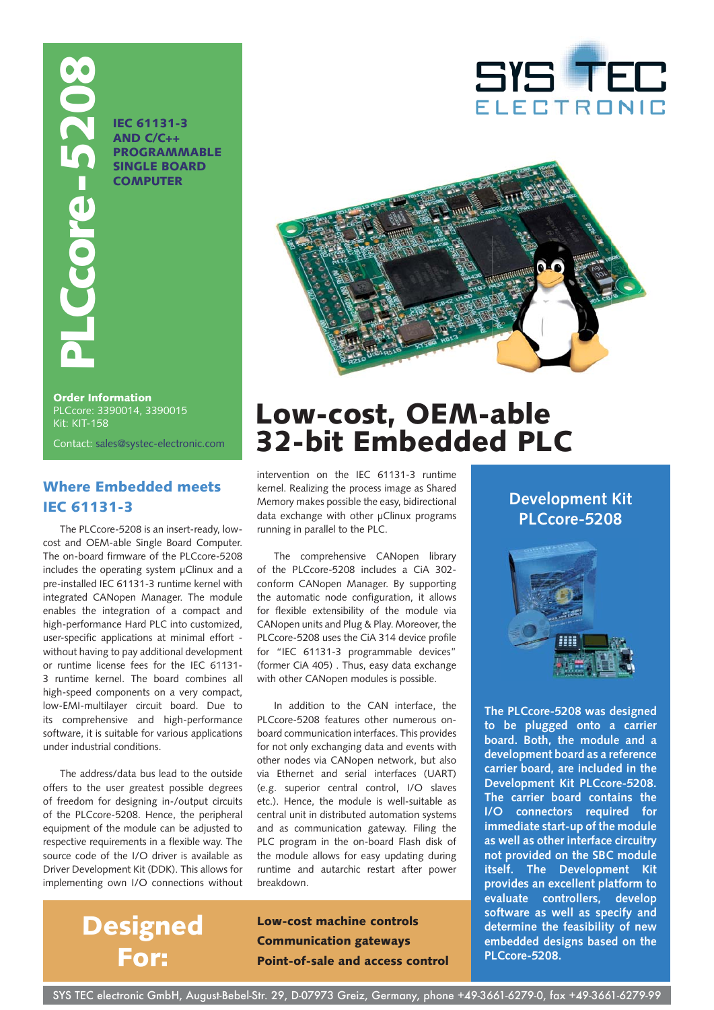CONTACT BEC 61131-3<br>
IEC 61131-3<br>
IEC 61131-3<br>
ISINGLE BOARD<br>
COMPUTER<br>
COMPUTER<br>
Contact: sales@systec-electronic.com<br>
Kit: KIT-158<br>
Contact: sales@systec-electronic.com

**IEC 61131-3 AND C/C++ PROGRAMMABLE SINGLE BOARD COMPUTER**





**Order Information** PLCcore: 3390014, 3390015 Kit: KIT-158

## **Where Embedded meets IEC 61131-3**

The PLCcore-5208 is an insert-ready, lowcost and OEM-able Single Board Computer. The on-board firmware of the PLCcore-5208 includes the operating system μClinux and a pre-installed IEC 61131-3 runtime kernel with integrated CANopen Manager. The module enables the integration of a compact and high-performance Hard PLC into customized, user-specific applications at minimal effort without having to pay additional development or runtime license fees for the IEC 61131- 3 runtime kernel. The board combines all high-speed components on a very compact, low-EMI-multilayer circuit board. Due to its comprehensive and high-performance software, it is suitable for various applications under industrial conditions.

The address/data bus lead to the outside offers to the user greatest possible degrees of freedom for designing in-/output circuits of the PLCcore-5208. Hence, the peripheral equipment of the module can be adjusted to respective requirements in a flexible way. The source code of the I/O driver is available as Driver Development Kit (DDK). This allows for implementing own I/O connections without

> **Designed For:**

# **Low-cost, OEM-able 32-bit Embedded PLC**

intervention on the IEC 61131-3 runtime kernel. Realizing the process image as Shared Memory makes possible the easy, bidirectional data exchange with other μClinux programs running in parallel to the PLC.

The comprehensive CANopen library of the PLCcore-5208 includes a CiA 302 conform CANopen Manager. By supporting the automatic node configuration, it allows for flexible extensibility of the module via CANopen units and Plug & Play. Moreover, the PLCcore-5208 uses the CiA 314 device profile for "IEC 61131-3 programmable devices" (former CiA 405) . Thus, easy data exchange with other CANopen modules is possible.

In addition to the CAN interface, the PLCcore-5208 features other numerous onboard communication interfaces. This provides for not only exchanging data and events with other nodes via CANopen network, but also via Ethernet and serial interfaces (UART) (e.g. superior central control, I/O slaves etc.). Hence, the module is well-suitable as central unit in distributed automation systems and as communication gateway. Filing the PLC program in the on-board Flash disk of the module allows for easy updating during runtime and autarchic restart after power breakdown.

**Low-cost machine controls Communication gateways Point-of-sale and access control**

## **Development Kit PLCcore-5208**



**The PLCcore-5208 was designed to be plugged onto a carrier board. Both, the module and a development board as a reference carrier board, are included in the Development Kit PLCcore-5208. The carrier board contains the I/O connectors required for immediate start-up of the module as well as other interface circuitry not provided on the SBC module itself. The Development Kit provides an excellent platform to evaluate controllers, develop software as well as specify and determine the feasibility of new embedded designs based on the PLCcore-5208.**

SYS TEC electronic GmbH, August-Bebel-Str. 29, D-07973 Greiz, Germany, phone +49-3661-6279-0, fax +49-3661-6279-99